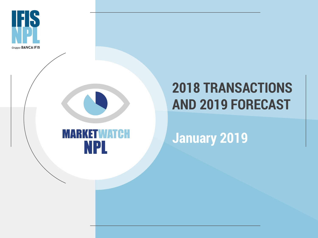



## **2018 TRANSACTIONS AND 2019 FORECAST**

**January 2019**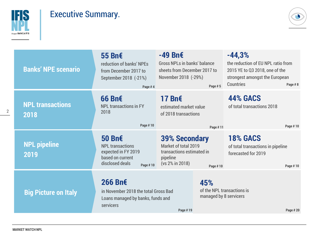

## Executive Summary.

 $\bullet$ 

| <b>Banks' NPE scenario</b>      | 55 Bn€<br>reduction of banks' NPEs<br>from December 2017 to<br>September 2018 (-21%)<br>Page #4             | $-49$ Bn $\epsilon$<br><b>Gross NPLs in banks' balance</b><br>sheets from December 2017 to<br>November 2018 (-29%)<br>Page #5 | $-44,3%$<br>the reduction of EU NPL ratio from<br>2015 YE to Q3 2018, one of the<br>strongest amongst the European<br>Countries<br>Page #8 |  |  |
|---------------------------------|-------------------------------------------------------------------------------------------------------------|-------------------------------------------------------------------------------------------------------------------------------|--------------------------------------------------------------------------------------------------------------------------------------------|--|--|
| <b>NPL transactions</b><br>2018 | $66 Bn \epsilon$<br><b>NPL transactions in FY</b><br>2018<br>Page #10                                       | 17 Bn€<br>estimated market value<br>of 2018 transactions<br>Page #11                                                          | <b>44% GACS</b><br>of total transactions 2018<br>Page #10                                                                                  |  |  |
| <b>NPL pipeline</b><br>2019     | 50 Bn€<br><b>NPL transactions</b><br>expected in FY 2019<br>based on current<br>disclosed deals<br>Page #10 | <b>39% Secondary</b><br>Market of total 2019<br>transactions estimated in<br>pipeline<br>(vs 2% in 2018)<br>Page #10          | <b>18% GACS</b><br>of total transactions in pipeline<br>forecasted for 2019<br>Page #10                                                    |  |  |
| <b>Big Picture on Italy</b>     | 266 Bn€<br>in November 2018 the total Gross Bad<br>Loans managed by banks, funds and<br>servicers           | 45%<br>Page #19                                                                                                               | of the NPL transactions is<br>managed by 8 servicers<br>Page # 20                                                                          |  |  |

**MARKET WATCH NPL**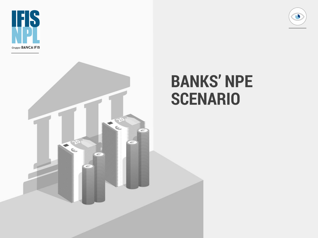



# **BANKS' NPE SCENARIO**

**I**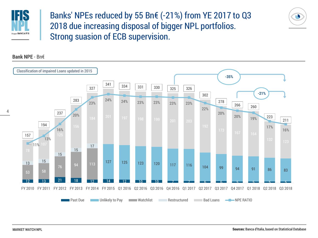

Banks' NPEs reduced by 55 Bn€ (-21%) from YE 2017 to Q3 2018 due increasing disposal of bigger NPL portfolios. Strong suasion of ECB supervision.



#### **Bank NPE** - Bn€

**MARKET WATCH NPL**

 $\bullet$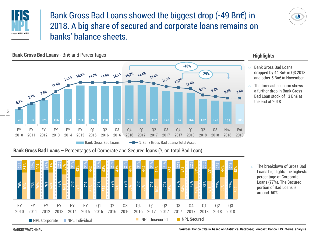

## Bank Gross Bad Loans showed the biggest drop (-49 Bn€) in 2018. A big share of secured and corporate loans remains on banks' balance sheets.





#### **Bank Gross Bad Loans** - Bn€ and Percentages

**Bank Gross Bad Loans** – Percentages of Corporate and Secured loans (% on total Bad Loan)



#### **Highlights**

- Bank Gross Bad Loans dropped by 44 Bn€ in Q3 2018 and other 5 Bn€ in November
- the end of 2018 Bad Loan stock of 13 Bn€ at a further drop in Bank Gross  $\circ$  The forecast scenario shows

The breakdown of Gross Bad Loans highlights the highests percentage of Corporate Loans (77%). The Secured portion of Bad Loans is around 50%

**MARKET WATCH NPL**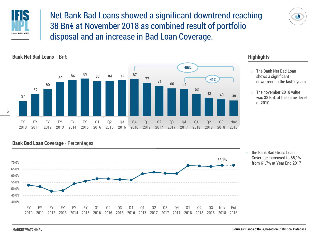

Net Bank Bad Loans showed a significant downtrend reaching 38 Bn€ at November 2018 as combined result of portfolio disposal and an increase in Bad Loan Coverage.





#### **Highlights**

- The Bank Net Bad Loan shows a significant downtrend in the last 2 years
- The november 2018 value was 38 Bn€ at the same level of 2010

#### **Bank Bad Loan Coverage** - Percentages



o the Bank Bad Gross Loan Coverage increased to 68,1% from 61,7% at Year End 2017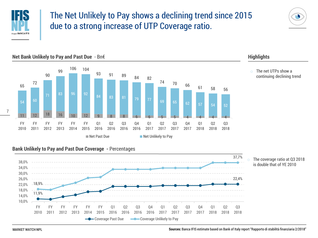

## The Net Unlikely to Pay shows a declining trend since 2015 due to a strong increase of UTP Coverage ratio.





#### **Highlights**

The net UTPs show a continuing declining trend

#### **Bank Unlikely to Pay and Past Due Coverage -** Percentages



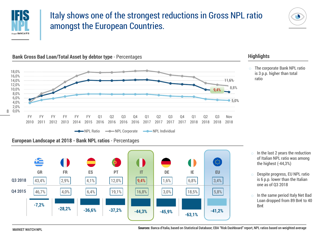

## Italy shows one of the strongest reductions in Gross NPL ratio amongst the European Countries.





#### **Bank Gross Bad Loan/Total Asset by debtor type** - Percentages





#### **Highlights**

The corporate Bank NPL ratio is 3 p.p. higher than total ratio

- $\circ$  In the last 2 years the reduction of Italian NPL ratio was among the highest (-44,3%)
- Despite progress, EU NPL ratio is 6 p.p. lower than the Italian one as of Q3 2018
- In the same period Italy Net Bad Loan dropped from 89 Bn€ to 40 Bn€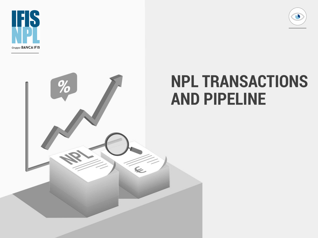



# $%$  $\leq$

# **NPL TRANSACTIONS AND PIPELINE**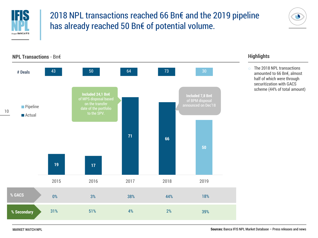

## 2018 NPL transactions reached 66 Bn€ and the 2019 pipeline has already reached 50 Bn€ of potential volume.





#### **Highlights**

o The 2018 NPL transactions amounted to 66 Bn€, almost half of which were through securitization with GACS scheme (44% of total amount)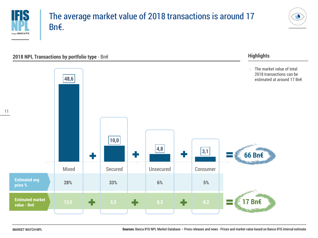

## The average market value of 2018 transactions is around 17 Bn€.



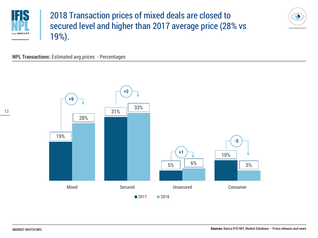

## 2018 Transaction prices of mixed deals are closed to secured level and higher than 2017 average price (28% vs 19%).



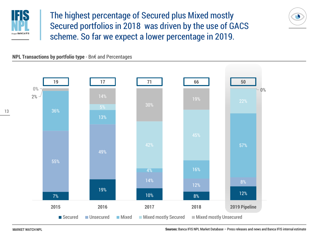

The highest percentage of Secured plus Mixed mostly Secured portfolios in 2018 was driven by the use of GACS scheme. So far we expect a lower percentage in 2019.

**NPL Transactions by portfolio type** - Bn€ and Percentages



**MARKET WATCH NPL**

**Sources:** Banca IFIS NPL Market Database – Press releases and news and Banca IFIS internal estimate

 $\bullet$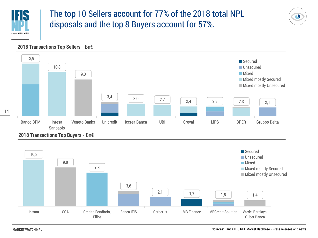

14

## The top 10 Sellers account for 77% of the 2018 total NPL disposals and the top 8 Buyers account for 57%.

#### **2018 Transactions Top Sellers -** Bn€







 $\bullet$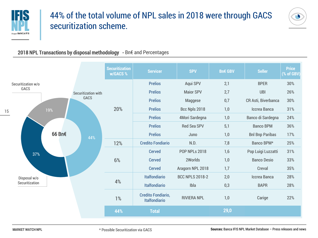

## 44% of the total volume of NPL sales in 2018 were through GACS securitization scheme.



#### 2018 NPL Transactions by disposal methodology - Bn€ and Percentages

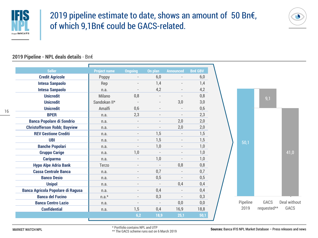

## 2019 pipeline estimate to date, shows an amount of 50 Bn€, of which 9,1Bn€ could be GACS-related.



#### **2019 Pipeline - NPL deals details** - Bn€

| <b>Seller</b>                            | <b>Project name</b> | <b>Ongoing</b>           | On plan                  | <b>Announced</b>         | <b>Bn€ GBV</b> |          |             |              |
|------------------------------------------|---------------------|--------------------------|--------------------------|--------------------------|----------------|----------|-------------|--------------|
| <b>Credit Agricole</b>                   | Poppy               | $\overline{\phantom{a}}$ | 6,0                      | $\overline{\phantom{a}}$ | 6,0            |          |             |              |
| <b>Intesa Sanpaolo</b>                   | Rep                 | $\overline{\phantom{a}}$ | 1,4                      | $\overline{\phantom{a}}$ | 1,4            |          |             |              |
| <b>Intesa Sanpaolo</b>                   | n.a.                | $\overline{\phantom{a}}$ | 4,2                      | $\overline{\phantom{a}}$ | 4,2            |          |             |              |
| <b>Unicredit</b>                         | Milano              | 0,8                      |                          | $\overline{\phantom{a}}$ | 0,8            |          | 9,1         |              |
| <b>Unicredit</b>                         | Sandokan II*        |                          |                          | 3,0                      | 3,0            |          |             |              |
| <b>Unicredit</b>                         | Amalfi              | 0,6                      |                          | $\overline{\phantom{a}}$ | 0,6            |          |             |              |
| <b>BPER</b>                              | n.a.                | 2,3                      |                          | $\overline{\phantom{a}}$ | 2,3            |          |             |              |
| <b>Banca Popolare di Sondrio</b>         | n.a.                | $\overline{\phantom{a}}$ | $\overline{\phantom{a}}$ | 2,0                      | 2,0            |          |             |              |
| <b>Christofferson Robb; Bayview</b>      | n.a.                | $\overline{\phantom{a}}$ |                          | 2,0                      | 2,0            |          |             |              |
| <b>REV Gestione Crediti</b>              | n.a.                | $\overline{\phantom{a}}$ | 1,5                      | $\overline{\phantom{a}}$ | 1,5            |          |             |              |
| <b>UBI</b>                               | n.a.                | $\overline{\phantom{a}}$ | 1,5                      | $\overline{\phantom{a}}$ | 1,5            | 50,1     |             |              |
| <b>Banche Popolari</b>                   | n.a.                | $\overline{\phantom{a}}$ | 1,0                      | $\overline{\phantom{0}}$ | 1,0            |          |             |              |
| <b>Gruppo Carige</b>                     | n.a.                | 1,0                      | $\overline{\phantom{a}}$ | $\overline{\phantom{a}}$ | 1,0            |          |             | 41,0         |
| <b>Cariparma</b>                         | n.a.                | $\overline{\phantom{a}}$ | 1,0                      | $\overline{\phantom{a}}$ | 1,0            |          |             |              |
| <b>Hypo Alpe Adria Bank</b>              | Terzo               | $\overline{\phantom{a}}$ | $\overline{\phantom{a}}$ | 0,8                      | 0,8            |          |             |              |
| <b>Cassa Centrale Banca</b>              | n.a.                | $\overline{\phantom{a}}$ | 0,7                      | $\overline{\phantom{a}}$ | 0,7            |          |             |              |
| <b>Banco Desio</b>                       | n.a.                | $\overline{\phantom{a}}$ | 0,5                      | $\overline{\phantom{a}}$ | 0,5            |          |             |              |
| <b>Unipol</b>                            | n.a.                | $\overline{\phantom{a}}$ | $\overline{\phantom{a}}$ | 0,4                      | 0,4            |          |             |              |
| <b>Banca Agricola Popolare di Ragusa</b> | n.a.                | $\overline{\phantom{a}}$ | 0,4                      | $\overline{\phantom{a}}$ | 0,4            |          |             |              |
| <b>Banca del Fucino</b>                  | $n.a.*$             | $\overline{\phantom{a}}$ | 0,3                      | $\overline{\phantom{a}}$ | 0,3            |          |             |              |
| <b>Banca Centro Lazio</b>                | n.a.                | $\overline{\phantom{a}}$ | $\overline{\phantom{a}}$ | 0,0                      | 0,0            | Pipeline | GACS        | Deal without |
| <b>Confidential</b>                      | n.a.                | 1,5                      | 0,4                      | 16,9                     | 18,8           | 2019     | requested** | GACS         |
|                                          |                     | 6,2                      | 18,9                     | 25,1                     | 50,1           |          |             |              |
|                                          |                     |                          |                          |                          |                |          |             |              |

\* Portfolio contains NPL and UTP

\*\* The GACS scheme runs out on 6 March 2019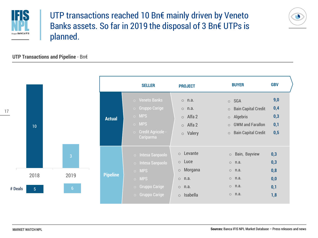

## UTP transactions reached 10 Bn€ mainly driven by Veneto Banks assets. So far in 2019 the disposal of 3 Bn€ UTPs is planned.



#### **UTP Transactions and Pipeline** - Bn€

|               |                        |                                          |                 | <b>SELLER</b>                                                                                                                      | <b>PROJECT</b>                                                                                         | <b>BUYER</b>                                                                                                              | <b>GBV</b>                             |
|---------------|------------------------|------------------------------------------|-----------------|------------------------------------------------------------------------------------------------------------------------------------|--------------------------------------------------------------------------------------------------------|---------------------------------------------------------------------------------------------------------------------------|----------------------------------------|
| $\frac{7}{1}$ | 10                     |                                          | <b>Actual</b>   | $\circ$ Veneto Banks<br>$\overline{\phantom{a}}$ Gruppo Carige<br>$\circ$ MPS<br>$\circ$ MPS<br>o Credit Agricole -<br>Cariparma   | $\circ$ n.a.<br>$\circ$ n.a.<br>$\circ$ Alfa 2<br>$\circ$ Alfa 2<br>o Valery                           | $\circ$ SGA<br>$\circ$ Bain Capital Credit<br>$\circ$ Algebris<br>$\circ$ GWM and Farallon<br>$\circ$ Bain Capital Credit | 9,0<br>0,4<br>0,3<br>0,1<br>0,5        |
| # Deals       | 2018<br>5 <sup>1</sup> | $\overline{3}$<br>2019<br>6 <sup>1</sup> | <b>Pipeline</b> | $\circ$ Intesa Sanpaolo<br>$\circ$ Intesa Sanpaolo<br>$\circ$ MPS<br>$\circ$ MPS<br>$\circ$ Gruppo Carige<br>$\circ$ Gruppo Carige | $\circ$ Levante<br>$\circ$ Luce<br>$\circ$ Morgana<br>$\circ$ n.a.<br>$\circ$ n.a.<br>$\circ$ Isabella | o Bain, Bayview<br>$\circ$ n.a.<br>$\circ$ n.a.<br>$\circ$ n.a.<br>$\circ$ n.a.<br>$\circ$ n.a.                           | 0,3<br>0,3<br>0,8<br>0,0<br>0,1<br>1,8 |

**MARKET WATCH NPL**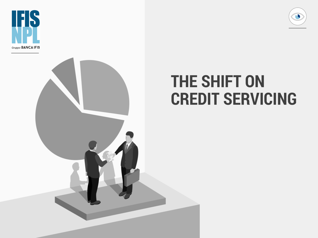



# **THE SHIFT ON CREDIT SERVICING**

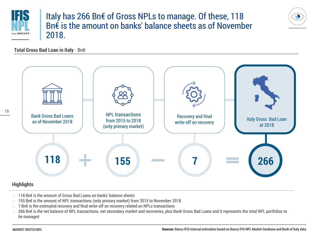

### Italy has 266 Bn€ of Gross NPLs to manage. Of these, 118 Bn€ is the amount on banks' balance sheets as of November 2018.

**Total Gross Bad Loan in Italy** - Bn€



- o 118 Bn€ is the amount of Gross Bad Loans on banks' balance sheets
- 155 Bn€ is the amount of NPL transactions (only primary market) from 2015 to November 2018
- o 7 Bn€ is the estimated recovery and final write-off on recovery related on NPLs transactions
- o 266 Bn€ is the net balance of NPL transactions, net secondary market and recoveries, plus Bank Gross Bad Loans and it represents the total NPL portfolios to be managed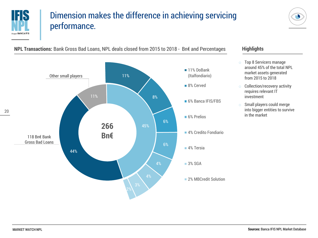

## Dimension makes the difference in achieving servicing performance.



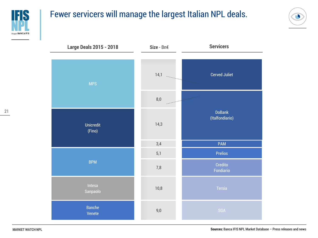

## Fewer servicers will manage the largest Italian NPL deals.



Banche Venete Intesa Sanpaolo BPM Unicredit (Fino) MPS Tersia Credito Fondiario Prelios PAM DoBank (Italfondiario) Cerved Juliet 9,0 10,8 7,8 5,1 3,4 14,3 8,0  $14,1$ **Large Deals 2015 - 2018 Size** - Bn€ **Servicers**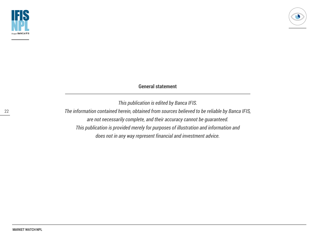

#### **General statement**

*This publication is edited by Banca IFIS. The information contained herein, obtained from sources believed to be reliable by Banca IFIS, are not necessarily complete, and their accuracy cannot be guaranteed. This publication is provided merely for purposes of illustration and information and does not in any way represent financial and investment advice.*